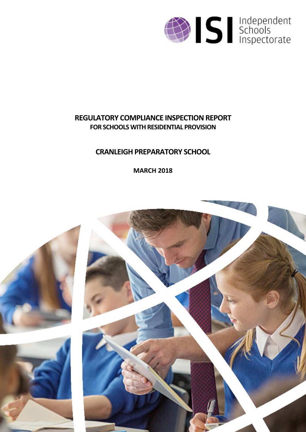

# **REGULATORY COMPLIANCE INSPECTION REPORT FOR SCHOOLS WITH RESIDENTIAL PROVISION**

# **CRANLEIGH PREPARATORY SCHOOL**

**MARCH 2018**

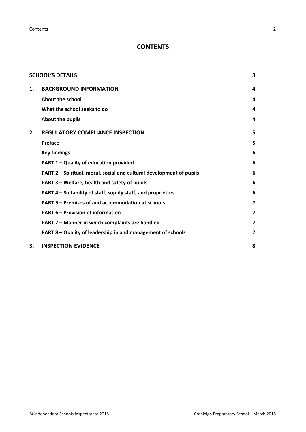**Contents** 2

## **CONTENTS**

|    | <b>SCHOOL'S DETAILS</b>                                              | 3 |
|----|----------------------------------------------------------------------|---|
| 1. | <b>BACKGROUND INFORMATION</b>                                        | 4 |
|    | <b>About the school</b>                                              | 4 |
|    | What the school seeks to do                                          | 4 |
|    | About the pupils                                                     | 4 |
| 2. | <b>REGULATORY COMPLIANCE INSPECTION</b>                              | 5 |
|    | Preface                                                              | 5 |
|    | <b>Key findings</b>                                                  | 6 |
|    | PART 1 - Quality of education provided                               | 6 |
|    | PART 2 - Spiritual, moral, social and cultural development of pupils | 6 |
|    | PART 3 – Welfare, health and safety of pupils                        | 6 |
|    | PART 4 – Suitability of staff, supply staff, and proprietors         | 6 |
|    | PART 5 – Premises of and accommodation at schools                    | 7 |
|    | <b>PART 6 - Provision of information</b>                             | 7 |
|    | PART 7 - Manner in which complaints are handled                      | 7 |
|    | PART 8 - Quality of leadership in and management of schools          | 7 |
| 3. | <b>INSPECTION EVIDENCE</b>                                           | 8 |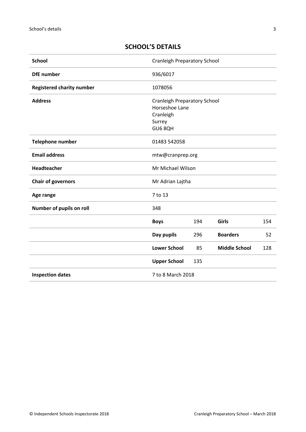## <span id="page-2-0"></span>**SCHOOL'S DETAILS**

| <b>School</b>                                | <b>Cranleigh Preparatory School</b>                                                     |     |                      |     |
|----------------------------------------------|-----------------------------------------------------------------------------------------|-----|----------------------|-----|
| <b>DfE</b> number                            | 936/6017                                                                                |     |                      |     |
| <b>Registered charity number</b>             | 1078056                                                                                 |     |                      |     |
| <b>Address</b>                               | <b>Cranleigh Preparatory School</b><br>Horseshoe Lane<br>Cranleigh<br>Surrey<br>GU6 8QH |     |                      |     |
| <b>Telephone number</b><br>01483 542058      |                                                                                         |     |                      |     |
| <b>Email address</b>                         | mtw@cranprep.org                                                                        |     |                      |     |
| Headteacher                                  | Mr Michael Wilson                                                                       |     |                      |     |
| <b>Chair of governors</b>                    | Mr Adrian Lajtha                                                                        |     |                      |     |
| Age range                                    | 7 to 13                                                                                 |     |                      |     |
| Number of pupils on roll                     | 348                                                                                     |     |                      |     |
|                                              | <b>Boys</b>                                                                             | 194 | Girls                | 154 |
|                                              | Day pupils                                                                              | 296 | <b>Boarders</b>      | 52  |
|                                              | <b>Lower School</b>                                                                     | 85  | <b>Middle School</b> | 128 |
|                                              | <b>Upper School</b>                                                                     | 135 |                      |     |
| 7 to 8 March 2018<br><b>Inspection dates</b> |                                                                                         |     |                      |     |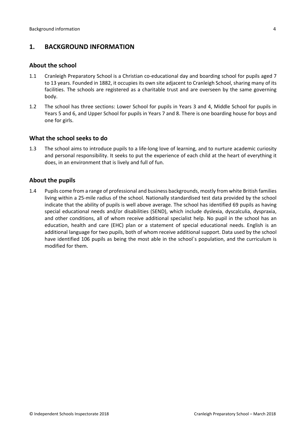## <span id="page-3-0"></span>**1. BACKGROUND INFORMATION**

#### <span id="page-3-1"></span>**About the school**

- 1.1 Cranleigh Preparatory School is a Christian co-educational day and boarding school for pupils aged 7 to 13 years. Founded in 1882, it occupies its own site adjacent to Cranleigh School, sharing many of its facilities. The schools are registered as a charitable trust and are overseen by the same governing body.
- 1.2 The school has three sections: Lower School for pupils in Years 3 and 4, Middle School for pupils in Years 5 and 6, and Upper School for pupils in Years 7 and 8. There is one boarding house for boys and one for girls.

#### <span id="page-3-2"></span>**What the school seeks to do**

1.3 The school aims to introduce pupils to a life-long love of learning, and to nurture academic curiosity and personal responsibility. It seeks to put the experience of each child at the heart of everything it does, in an environment that is lively and full of fun.

#### <span id="page-3-3"></span>**About the pupils**

1.4 Pupils come from a range of professional and business backgrounds, mostly from white British families living within a 25-mile radius of the school. Nationally standardised test data provided by the school indicate that the ability of pupils is well above average. The school has identified 69 pupils as having special educational needs and/or disabilities (SEND), which include dyslexia, dyscalculia, dyspraxia, and other conditions, all of whom receive additional specialist help. No pupil in the school has an education, health and care (EHC) plan or a statement of special educational needs. English is an additional language for two pupils, both of whom receive additional support. Data used by the school have identified 106 pupils as being the most able in the school`s population, and the curriculum is modified for them.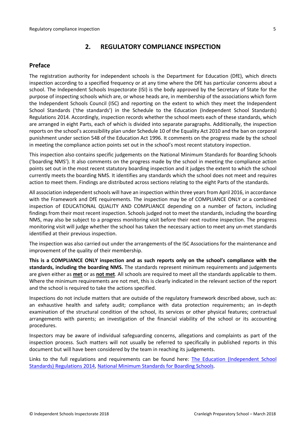## <span id="page-4-0"></span>**2. REGULATORY COMPLIANCE INSPECTION**

### <span id="page-4-1"></span>**Preface**

The registration authority for independent schools is the Department for Education (DfE), which directs inspection according to a specified frequency or at any time where the DfE has particular concerns about a school. The Independent Schools Inspectorate (ISI) is the body approved by the Secretary of State for the purpose of inspecting schools which are, or whose heads are, in membership of the associations which form the Independent Schools Council (ISC) and reporting on the extent to which they meet the Independent School Standards ('the standards') in the Schedule to the Education (Independent School Standards) Regulations 2014. Accordingly, inspection records whether the school meets each of these standards, which are arranged in eight Parts, each of which is divided into separate paragraphs. Additionally, the inspection reports on the school's accessibility plan under Schedule 10 of the Equality Act 2010 and the ban on corporal punishment under section 548 of the Education Act 1996. It comments on the progress made by the school in meeting the compliance action points set out in the school's most recent statutory inspection.

This inspection also contains specific judgements on the National Minimum Standards for Boarding Schools ('boarding NMS'). It also comments on the progress made by the school in meeting the compliance action points set out in the most recent statutory boarding inspection and it judges the extent to which the school currently meets the boarding NMS. It identifies any standards which the school does not meet and requires action to meet them. Findings are distributed across sections relating to the eight Parts of the standards.

All association independent schools will have an inspection within three yearsfrom April 2016, in accordance with the Framework and DfE requirements. The inspection may be of COMPLIANCE ONLY or a combined inspection of EDUCATIONAL QUALITY AND COMPLIANCE depending on a number of factors, including findings from their most recent inspection. Schools judged not to meet the standards, including the boarding NMS, may also be subject to a progress monitoring visit before their next routine inspection. The progress monitoring visit will judge whether the school has taken the necessary action to meet any un-met standards identified at their previous inspection.

The inspection was also carried out under the arrangements of the ISC Associations for the maintenance and improvement of the quality of their membership.

**This is a COMPLIANCE ONLY inspection and as such reports only on the school's compliance with the standards, including the boarding NMS.** The standards represent minimum requirements and judgements are given either as **met** or as **not met**. All schools are required to meet all the standards applicable to them. Where the minimum requirements are not met, this is clearly indicated in the relevant section of the report and the school is required to take the actions specified.

Inspections do not include matters that are outside of the regulatory framework described above, such as: an exhaustive health and safety audit; compliance with data protection requirements; an in-depth examination of the structural condition of the school, its services or other physical features; contractual arrangements with parents; an investigation of the financial viability of the school or its accounting procedures.

Inspectors may be aware of individual safeguarding concerns, allegations and complaints as part of the inspection process. Such matters will not usually be referred to specifically in published reports in this document but will have been considered by the team in reaching its judgements.

Links to the full regulations and requirements can be found here: The Education [\(Independent](http://www.legislation.gov.uk/uksi/2014/3283/contents/made) School Standards) [Regulations](http://www.legislation.gov.uk/uksi/2014/3283/contents/made) 2014, National Minimum [Standards](https://www.gov.uk/government/uploads/system/uploads/attachment_data/file/416186/20150319_nms_bs_standards.pdf) for Boarding Schools.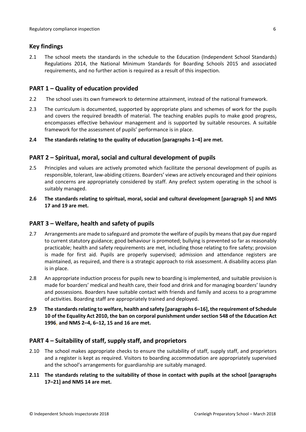#### <span id="page-5-0"></span>**Key findings**

2.1 The school meets the standards in the schedule to the Education (Independent School Standards) Regulations 2014, the National Minimum Standards for Boarding Schools 2015 and associated requirements, and no further action is required as a result of this inspection.

#### <span id="page-5-1"></span>**PART 1 – Quality of education provided**

- 2.2 The school uses its own framework to determine attainment, instead of the national framework.
- 2.3 The curriculum is documented, supported by appropriate plans and schemes of work for the pupils and covers the required breadth of material. The teaching enables pupils to make good progress, encompasses effective behaviour management and is supported by suitable resources. A suitable framework for the assessment of pupils' performance is in place.
- **2.4 The standards relating to the quality of education [paragraphs 1–4] are met.**

## <span id="page-5-2"></span>**PART 2 – Spiritual, moral, social and cultural development of pupils**

- 2.5 Principles and values are actively promoted which facilitate the personal development of pupils as responsible, tolerant, law-abiding citizens. Boarders' views are actively encouraged and their opinions and concerns are appropriately considered by staff. Any prefect system operating in the school is suitably managed.
- **2.6 The standards relating to spiritual, moral, social and cultural development [paragraph 5] and NMS 17 and 19 are met.**

## <span id="page-5-3"></span>**PART 3 – Welfare, health and safety of pupils**

- 2.7 Arrangements are made to safeguard and promote the welfare of pupils by means that pay due regard to current statutory guidance; good behaviour is promoted; bullying is prevented so far as reasonably practicable; health and safety requirements are met, including those relating to fire safety; provision is made for first aid. Pupils are properly supervised; admission and attendance registers are maintained, as required, and there is a strategic approach to risk assessment. A disability access plan is in place.
- 2.8 An appropriate induction process for pupils new to boarding is implemented, and suitable provision is made for boarders' medical and health care, their food and drink and for managing boarders' laundry and possessions. Boarders have suitable contact with friends and family and access to a programme of activities. Boarding staff are appropriately trained and deployed.
- **2.9 The standardsrelating to welfare, health and safety [paragraphs 6–16], the requirement of Schedule 10 of the Equality Act 2010, the ban on corporal punishment under section 548 of the Education Act 1996, and NMS 2–4, 6–12, 15 and 16 are met.**

## <span id="page-5-4"></span>**PART 4 – Suitability of staff, supply staff, and proprietors**

- 2.10 The school makes appropriate checks to ensure the suitability of staff, supply staff, and proprietors and a register is kept as required. Visitors to boarding accommodation are appropriately supervised and the school's arrangements for guardianship are suitably managed.
- **2.11 The standards relating to the suitability of those in contact with pupils at the school [paragraphs 17–21] and NMS 14 are met.**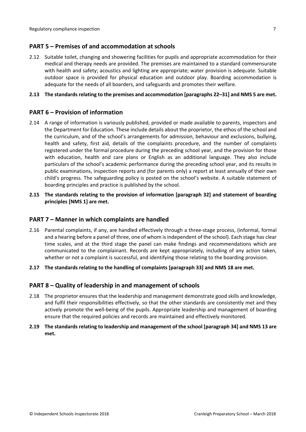#### <span id="page-6-0"></span>**PART 5 – Premises of and accommodation at schools**

2.12 Suitable toilet, changing and showering facilities for pupils and appropriate accommodation for their medical and therapy needs are provided. The premises are maintained to a standard commensurate with health and safety; acoustics and lighting are appropriate; water provision is adequate. Suitable outdoor space is provided for physical education and outdoor play. Boarding accommodation is adequate for the needs of all boarders, and safeguards and promotes their welfare.

#### **2.13 The standardsrelating to the premises and accommodation [paragraphs 22–31] and NMS 5 are met.**

#### <span id="page-6-1"></span>**PART 6 – Provision of information**

- 2.14 A range of information is variously published, provided or made available to parents, inspectors and the Department for Education. These include details about the proprietor, the ethos of the school and the curriculum, and of the school's arrangements for admission, behaviour and exclusions, bullying, health and safety, first aid, details of the complaints procedure, and the number of complaints registered under the formal procedure during the preceding school year, and the provision for those with education, health and care plans or English as an additional language. They also include particulars of the school's academic performance during the preceding school year, and its results in public examinations, inspection reports and (for parents only) a report at least annually of their own child's progress. The safeguarding policy is posted on the school's website. A suitable statement of boarding principles and practice is published by the school.
- **2.15 The standards relating to the provision of information [paragraph 32] and statement of boarding principles [NMS 1] are met.**

#### <span id="page-6-2"></span>**PART 7 – Manner in which complaints are handled**

- 2.16 Parental complaints, if any, are handled effectively through a three-stage process, (informal, formal and a hearing before a panel of three, one of whom isindependent of the school). Each stage has clear time scales, and at the third stage the panel can make findings and recommendations which are communicated to the complainant. Records are kept appropriately, including of any action taken, whether or not a complaint is successful, and identifying those relating to the boarding provision.
- **2.17 The standards relating to the handling of complaints [paragraph 33] and NMS 18 are met.**

## <span id="page-6-3"></span>**PART 8 – Quality of leadership in and management of schools**

- 2.18 The proprietor ensures that the leadership and management demonstrate good skills and knowledge, and fulfil their responsibilities effectively, so that the other standards are consistently met and they actively promote the well-being of the pupils. Appropriate leadership and management of boarding ensure that the required policies and records are maintained and effectively monitored.
- **2.19 The standards relating to leadership and management of the school [paragraph 34] and NMS 13 are met.**